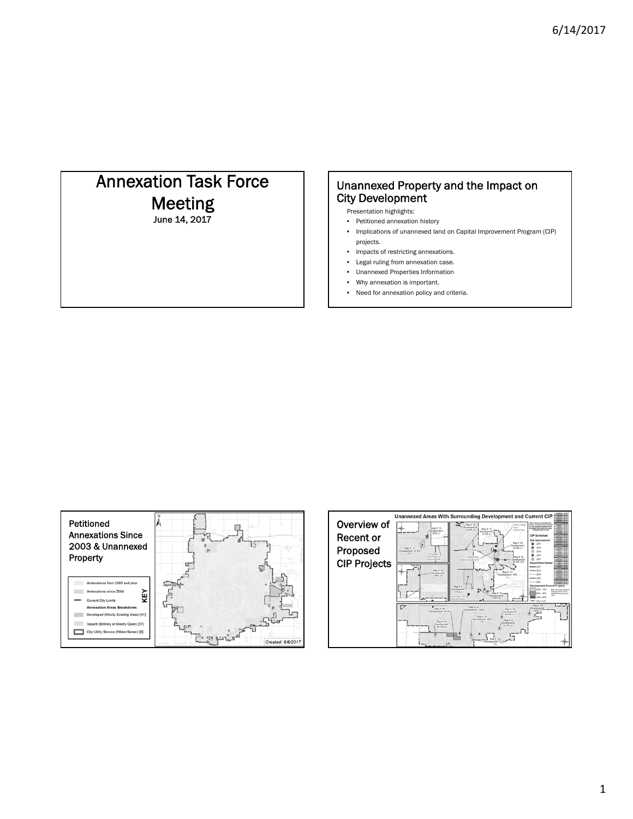# Annexation Task Force Meeting June 14, 2017

### Unannexed Property and the Impact on City Development

Presentation highlights:

- Petitioned annexation history
- Implications of unannexed land on Capital Improvement Program (CIP) projects.
- Impacts of restricting annexations.
- Legal ruling from annexation case.
- Unannexed Properties Information
- Why annexation is important.
- Need for annexation policy and criteria.



|                     | Unannexed Areas With Surrounding Development and Current CIP                                                           |                                                                                                                                                                             |
|---------------------|------------------------------------------------------------------------------------------------------------------------|-----------------------------------------------------------------------------------------------------------------------------------------------------------------------------|
| Overview of         | Map # 25<br>Willow Ridge<br>Development<br>Park /<br>Map #: 19<br>Map #: 12<br>52.6% (2)<br>School Site<br>Development | <b>But if inducescues identification</b><br>bel. Elevelopment perturbage<br>for area abuffing arogenly that is<br>developed. (A) shown how many<br>resoluting units in area |
| Recent or           | Development<br>87% (-)<br>77.9% (.)                                                                                    | <b>CIP Schedule</b><br>Site Improvement                                                                                                                                     |
|                     | Map #: 30<br>Development<br>Map # 16<br>58.8% (-)<br>Ĺ١                                                                | 2017<br>2018                                                                                                                                                                |
| Proposed            | Development 65.61<br>(27)<br>Foundation<br>Park Phine 2<br>Map # 32<br><b>DRAINAGE</b><br>Improvements                 | 2019<br>റ<br>2020<br>$\circ$<br>2021                                                                                                                                        |
| <b>CIP Projects</b> | Development<br><b>MPROVEMENTS</b><br>09.4% (12)                                                                        | Road/Water/Sewer<br>$-2017$                                                                                                                                                 |
|                     | ĸг<br>Map # 52<br>Map # 31<br>Jevelopment.<br>Development <sub>70%</sub><br>100% (21)                                  | $-2018$<br>$-2019$                                                                                                                                                          |
|                     | SE School<br>Map # 4                                                                                                   | $-2020$<br>$-2021$<br><b>Development Around Property</b>                                                                                                                    |
|                     | Ч<br>Development<br>2.3<br>57% (-)<br>Map #: $14 - 1$<br>Development                                                   | 50% - 79%<br>Note: The map numbers<br>indicated have are for<br>80% - 90%<br>dentification purposes                                                                         |
|                     | <b>Limodon Park</b><br>50% (2)                                                                                         | 99%-100%<br>- City Limits                                                                                                                                                   |
|                     | Ζ<br>Map #: 43<br>$Map \# 44$<br>Map # 39<br>Development 100%<br>Development 84.3%<br>Development<br>4.3               | Map # 38<br>Development<br>50% (1                                                                                                                                           |
|                     | (1)<br>68,8% (1)<br>Map # 41<br>Development 58%<br>Map #. 8<br>Map # 46<br>(2)<br>Development                          |                                                                                                                                                                             |
|                     | Development<br>53.7% (2)<br>50.4% (2)                                                                                  |                                                                                                                                                                             |
|                     | - Development 51.21                                                                                                    |                                                                                                                                                                             |
|                     | (1)                                                                                                                    |                                                                                                                                                                             |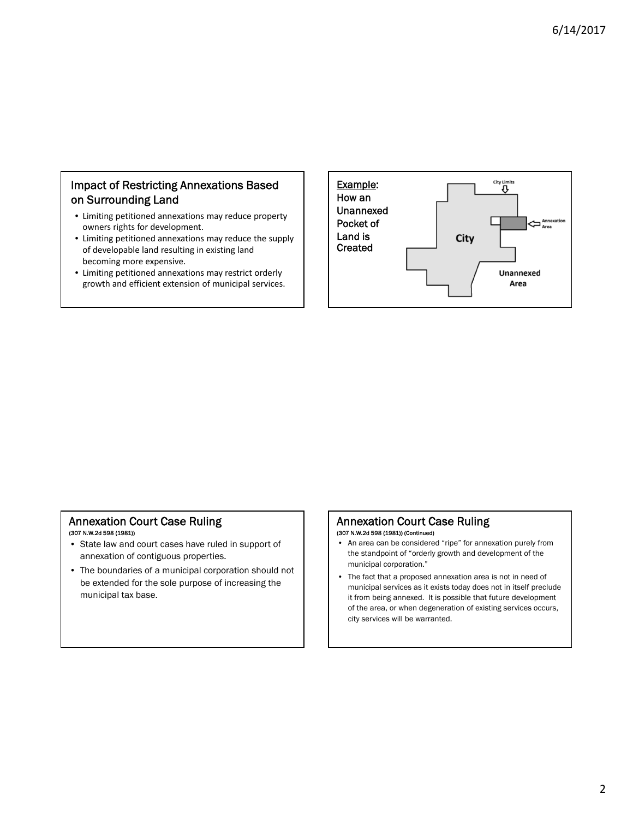### Impact of Restricting Annexations Based on Surrounding Land

- Limiting petitioned annexations may reduce property owners rights for development.
- Limiting petitioned annexations may reduce the supply of developable land resulting in existing land becoming more expensive.
- Limiting petitioned annexations may restrict orderly growth and efficient extension of municipal services.



## Annexation Court Case Ruling

### (307 N.W.2d 598 (1981))

- State law and court cases have ruled in support of annexation of contiguous properties.
- The boundaries of a municipal corporation should not be extended for the sole purpose of increasing the municipal tax base.

## Annexation Court Case Ruling

- (307 N.W.2d 598 (1981)) (Continued)
- An area can be considered "ripe" for annexation purely from the standpoint of "orderly growth and development of the municipal corporation."
- The fact that a proposed annexation area is not in need of municipal services as it exists today does not in itself preclude it from being annexed. It is possible that future development of the area, or when degeneration of existing services occurs, city services will be warranted.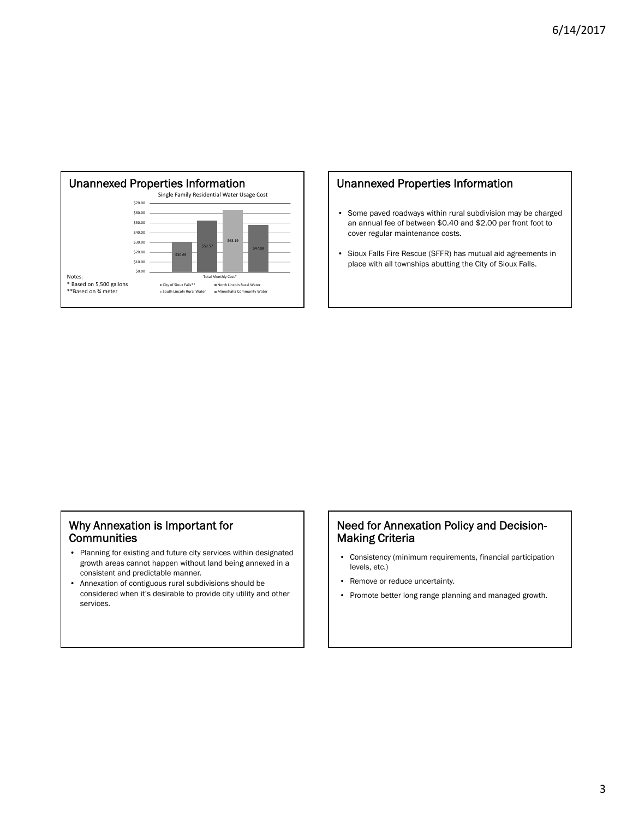

### Unannexed Properties Information

- Some paved roadways within rural subdivision may be charged an annual fee of between \$0.40 and \$2.00 per front foot to cover regular maintenance costs.
- Sioux Falls Fire Rescue (SFFR) has mutual aid agreements in place with all townships abutting the City of Sioux Falls.

#### Why Annexation is Important for **Communities**

- Planning for existing and future city services within designated growth areas cannot happen without land being annexed in a consistent and predictable manner.
- Annexation of contiguous rural subdivisions should be considered when it's desirable to provide city utility and other services.

#### Need for Annexation Policy and Decision-Making Criteria

- Consistency (minimum requirements, financial participation levels, etc.)
- Remove or reduce uncertainty.
- Promote better long range planning and managed growth.